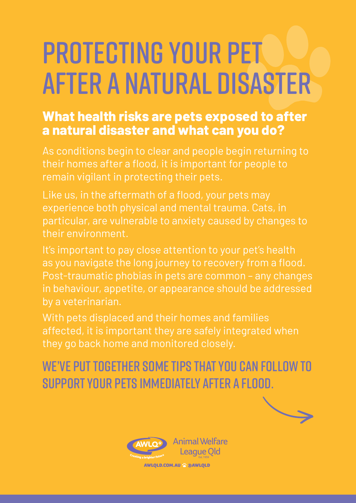## Protecting your pet after a natural disaster

## **What health risks are pets exposed to after a natural disaster and what can you do?**

As conditions begin to clear and people begin returning to their homes after a flood, it is important for people to remain vigilant in protecting their pets.

Like us, in the aftermath of a flood, your pets may experience both physical and mental trauma. Cats, in particular, are vulnerable to anxiety caused by changes to their environment.

It's important to pay close attention to your pet's health as you navigate the long journey to recovery from a flood. Post-traumatic phobias in pets are common – any changes in behaviour, appetite, or appearance should be addressed by a veterinarian.

With pets displaced and their homes and families affected, it is important they are safely integrated when they go back home and monitored closely.

We've put together some tips that you can follow to support your pets immediately after a flood.

League Old